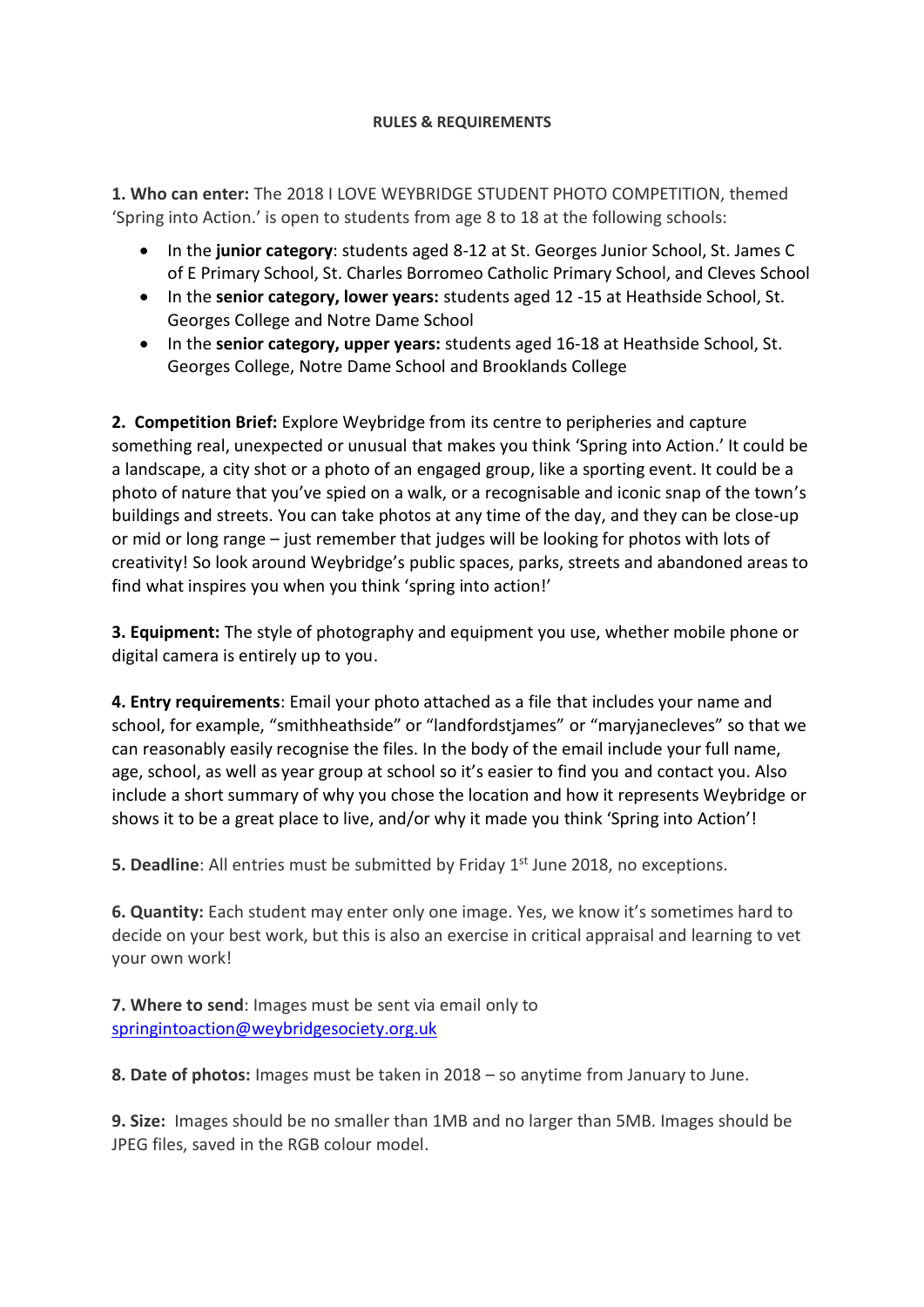## **RULES & REQUIREMENTS**

**1. Who can enter:** The 2018 I LOVE WEYBRIDGE STUDENT PHOTO COMPETITION, themed 'Spring into Action.' is open to students from age 8 to 18 at the following schools:

- In the **junior category**: students aged 8-12 at St. Georges Junior School, St. James C of E Primary School, St. Charles Borromeo Catholic Primary School, and Cleves School
- In the **senior category, lower years:** students aged 12 -15 at Heathside School, St. Georges College and Notre Dame School
- In the **senior category, upper years:** students aged 16-18 at Heathside School, St. Georges College, Notre Dame School and Brooklands College

**2. Competition Brief:** Explore Weybridge from its centre to peripheries and capture something real, unexpected or unusual that makes you think 'Spring into Action.' It could be a landscape, a city shot or a photo of an engaged group, like a sporting event. It could be a photo of nature that you've spied on a walk, or a recognisable and iconic snap of the town's buildings and streets. You can take photos at any time of the day, and they can be close-up or mid or long range – just remember that judges will be looking for photos with lots of creativity! So look around Weybridge's public spaces, parks, streets and abandoned areas to find what inspires you when you think 'spring into action!'

**3. Equipment:** The style of photography and equipment you use, whether mobile phone or digital camera is entirely up to you.

**4. Entry requirements**: Email your photo attached as a file that includes your name and school, for example, "smithheathside" or "landfordstjames" or "maryjanecleves" so that we can reasonably easily recognise the files. In the body of the email include your full name, age, school, as well as year group at school so it's easier to find you and contact you. Also include a short summary of why you chose the location and how it represents Weybridge or shows it to be a great place to live, and/or why it made you think 'Spring into Action'!

**5. Deadline**: All entries must be submitted by Friday 1<sup>st</sup> June 2018, no exceptions.

**6. Quantity:** Each student may enter only one image. Yes, we know it's sometimes hard to decide on your best work, but this is also an exercise in critical appraisal and learning to vet your own work!

**7. Where to send**: Images must be sent via email only to [springintoaction@weybridgesociety.org.uk](mailto:springintoaction@weybridgesociety.org.uk)

**8. Date of photos:** Images must be taken in 2018 – so anytime from January to June.

**9. Size:** Images should be no smaller than 1MB and no larger than 5MB. Images should be JPEG files, saved in the RGB colour model.